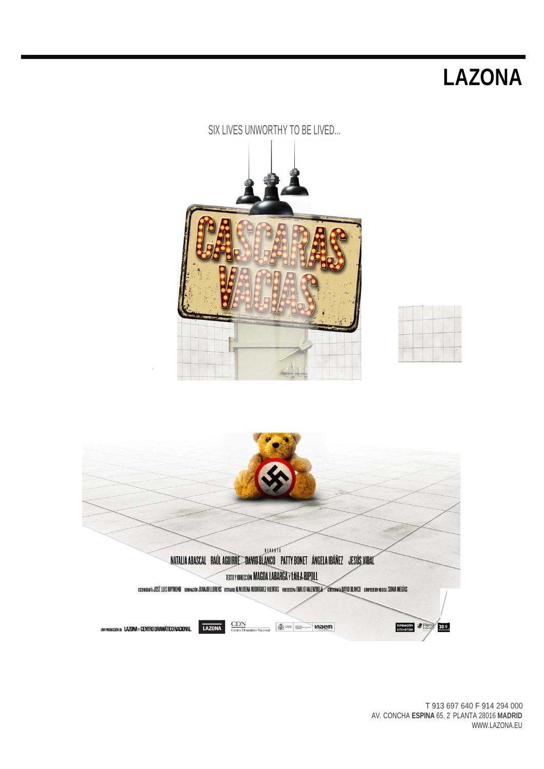

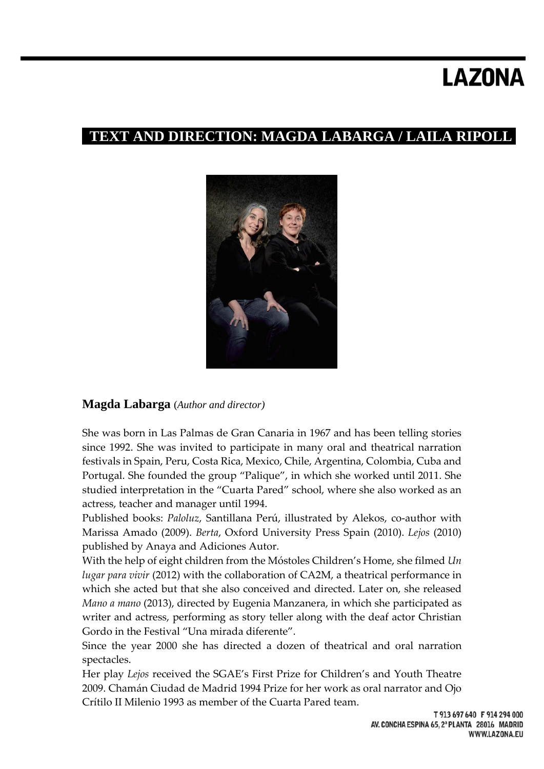## **TEXT AND DIRECTION: MAGDA LABARGA / LAILA RIPOLL**



### **Magda Labarga** (*Author and director)*

She was born in Las Palmas de Gran Canaria in 1967 and has been telling stories since 1992. She was invited to participate in many oral and theatrical narration festivals in Spain, Peru, Costa Rica, Mexico, Chile, Argentina, Colombia, Cuba and Portugal. She founded the group "Palique", in which she worked until 2011. She studied interpretation in the "Cuarta Pared" school, where she also worked as an actress, teacher and manager until 1994.

Published books: *Paloluz*, Santillana Perú, illustrated by Alekos, co‐author with Marissa Amado (2009). *Berta*, Oxford University Press Spain (2010). *Lejos* (2010) published by Anaya and Adiciones Autor.

With the help of eight children from the Móstoles Children's Home, she filmed *Un lugar para vivir* (2012) with the collaboration of CA2M, a theatrical performance in which she acted but that she also conceived and directed. Later on, she released *Mano a mano* (2013), directed by Eugenia Manzanera, in which she participated as writer and actress, performing as story teller along with the deaf actor Christian Gordo in the Festival "Una mirada diferente".

Since the year 2000 she has directed a dozen of theatrical and oral narration spectacles.

Her play *Lejos* received the SGAE's First Prize for Children's and Youth Theatre 2009. Chamán Ciudad de Madrid 1994 Prize for her work as oral narrator and Ojo Crítilo II Milenio 1993 as member of the Cuarta Pared team.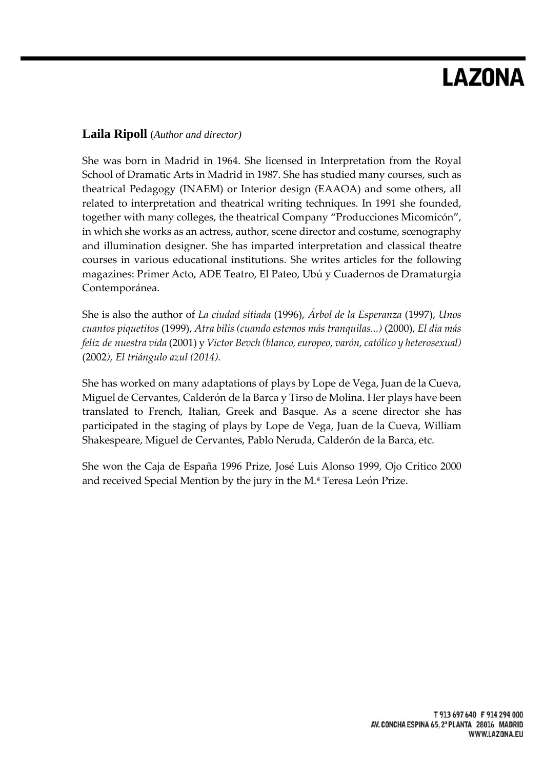### **Laila Ripoll** (*Author and director)*

She was born in Madrid in 1964. She licensed in Interpretation from the Royal School of Dramatic Arts in Madrid in 1987. She has studied many courses, such as theatrical Pedagogy (INAEM) or Interior design (EAAOA) and some others, all related to interpretation and theatrical writing techniques. In 1991 she founded, together with many colleges, the theatrical Company "Producciones Micomicón", in which she works as an actress, author, scene director and costume, scenography and illumination designer. She has imparted interpretation and classical theatre courses in various educational institutions. She writes articles for the following magazines: Primer Acto, ADE Teatro, El Pateo, Ubú y Cuadernos de Dramaturgia Contemporánea.

She is also the author of *La ciudad sitiada* (1996), *Árbol de la Esperanza* (1997), *Unos cuantos piquetitos* (1999), *Atra bilis (cuando estemos más tranquilas...)* (2000), *El día más feliz de nuestra vida* (2001) y *Victor Bevch (blanco,europeo, varón, católico y heterosexual)* (2002*), El triángulo azul (2014).*

She has worked on many adaptations of plays by Lope de Vega, Juan de la Cueva, Miguel de Cervantes, Calderón de la Barca y Tirso de Molina. Her plays have been translated to French, Italian, Greek and Basque. As a scene director she has participated in the staging of plays by Lope de Vega, Juan de la Cueva, William Shakespeare, Miguel de Cervantes, Pablo Neruda, Calderón de la Barca, etc.

She won the Caja de España 1996 Prize, José Luis Alonso 1999, Ojo Crítico 2000 and received Special Mention by the jury in the M.ª Teresa León Prize.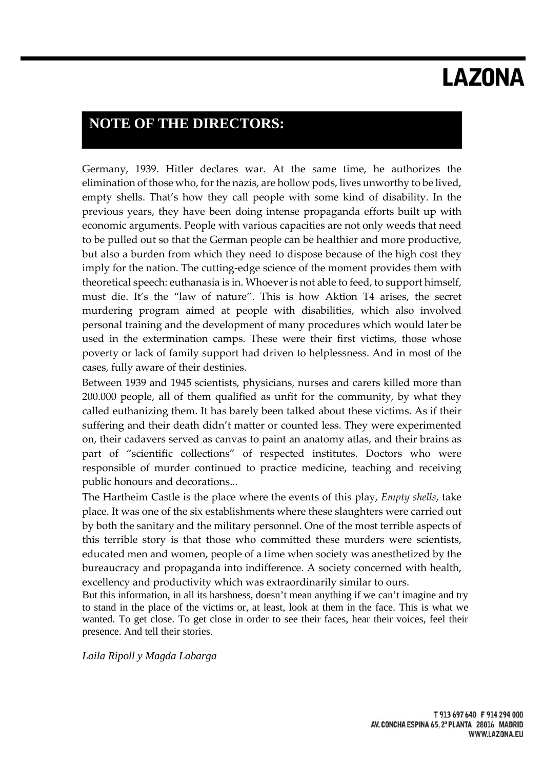## **NOTE OF THE DIRECTORS:**

Germany, 1939. Hitler declares war. At the same time, he authorizes the elimination of those who, for the nazis, are hollow pods, lives unworthy to be lived, empty shells. That's how they call people with some kind of disability. In the previous years, they have been doing intense propaganda efforts built up with economic arguments. People with various capacities are not only weeds that need to be pulled out so that the German people can be healthier and more productive, but also a burden from which they need to dispose because of the high cost they imply for the nation. The cutting-edge science of the moment provides them with theoretical speech: euthanasia is in. Whoever is not able to feed, to support himself, must die. It's the "law of nature". This is how Aktion T4 arises, the secret murdering program aimed at people with disabilities, which also involved personal training and the development of many procedures which would later be used in the extermination camps. These were their first victims, those whose poverty or lack of family support had driven to helplessness. And in most of the cases, fully aware of their destinies.

Between 1939 and 1945 scientists, physicians, nurses and carers killed more than 200.000 people, all of them qualified as unfit for the community, by what they called euthanizing them. It has barely been talked about these victims. As if their suffering and their death didn't matter or counted less. They were experimented on, their cadavers served as canvas to paint an anatomy atlas, and their brains as part of "scientific collections" of respected institutes. Doctors who were responsible of murder continued to practice medicine, teaching and receiving public honours and decorations...

The Hartheim Castle is the place where the events of this play, *Empty shells*, take place. It was one of the six establishments where these slaughters were carried out by both the sanitary and the military personnel. One of the most terrible aspects of this terrible story is that those who committed these murders were scientists, educated men and women, people of a time when society was anesthetized by the bureaucracy and propaganda into indifference. A society concerned with health, excellency and productivity which was extraordinarily similar to ours.

But this information, in all its harshness, doesn't mean anything if we can't imagine and try to stand in the place of the victims or, at least, look at them in the face. This is what we wanted. To get close. To get close in order to see their faces, hear their voices, feel their presence. And tell their stories.

*Laila Ripoll y Magda Labarga*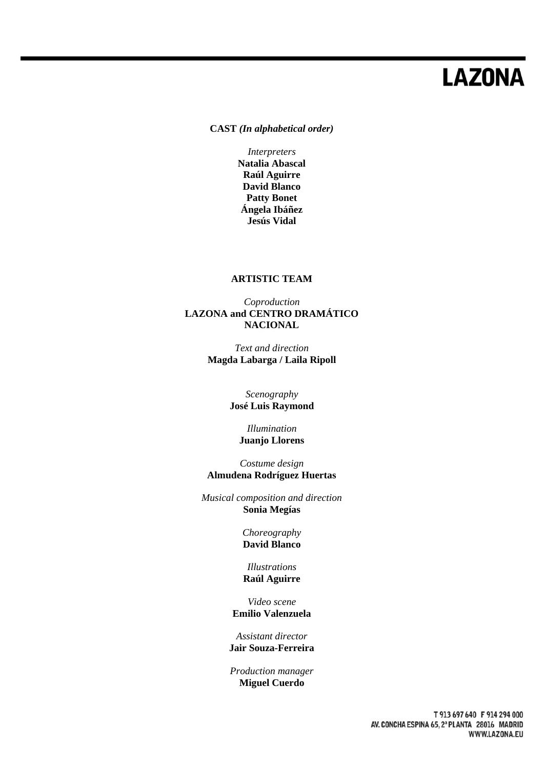**CAST** *(In alphabetical order)* 

*Interpreters*  **Natalia Abascal Raúl Aguirre David Blanco Patty Bonet Ángela Ibáñez Jesús Vidal** 

#### **ARTISTIC TEAM**

#### *Coproduction*  **LAZONA and CENTRO DRAMÁTICO NACIONAL**

*Text and direction*  **Magda Labarga / Laila Ripoll** 

> *Scenography*  **José Luis Raymond**

> > *Illumination*  **Juanjo Llorens**

*Costume design*  **Almudena Rodríguez Huertas** 

*Musical composition and direction*  **Sonia Megías** 

> *Choreography*  **David Blanco**

*Illustrations*  **Raúl Aguirre** 

*Video scene*  **Emilio Valenzuela** 

*Assistant director*  **Jair Souza-Ferreira** 

*Production manager*  **Miguel Cuerdo**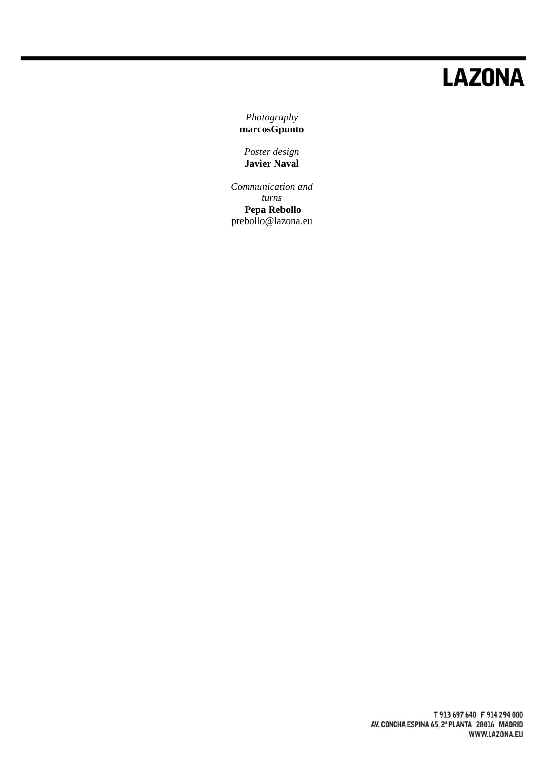*Photography*  **marcosGpunto** 

*Poster design*  **Javier Naval** 

*Communication and turns*  **Pepa Rebollo**  prebollo@lazona.eu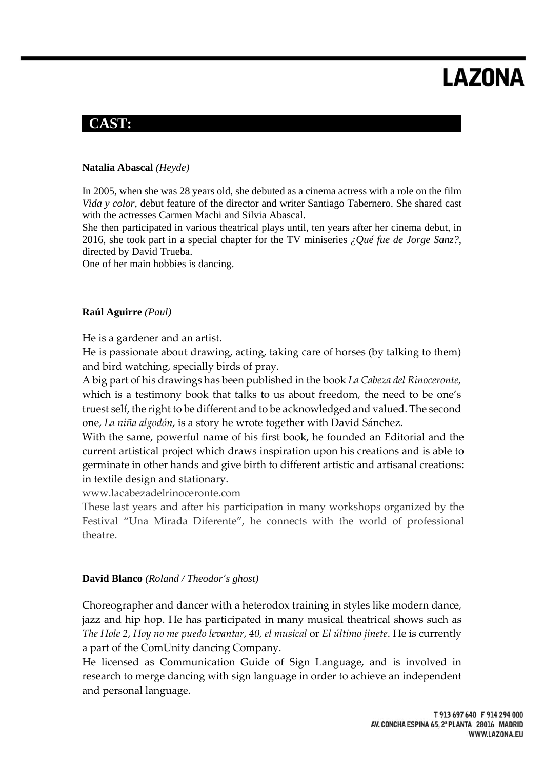## **CAST:**

### **Natalia Abascal** *(Heyde)*

In 2005, when she was 28 years old, she debuted as a cinema actress with a role on the film *Vida y color*, debut feature of the director and writer Santiago Tabernero. She shared cast with the actresses Carmen Machi and Silvia Abascal.

She then participated in various theatrical plays until, ten years after her cinema debut, in 2016, she took part in a special chapter for the TV miniseries *¿Qué fue de Jorge Sanz?*, directed by David Trueba.

One of her main hobbies is dancing.

#### **Raúl Aguirre** *(Paul)*

He is a gardener and an artist.

He is passionate about drawing, acting, taking care of horses (by talking to them) and bird watching, specially birds of pray.

A big part of his drawings has been published in the book *La Cabeza del Rinoceronte*, which is a testimony book that talks to us about freedom, the need to be one's truest self, the right to be different and to be acknowledged and valued. The second one, *La niña algodón*, is a story he wrote together with David Sánchez.

With the same, powerful name of his first book, he founded an Editorial and the current artistical project which draws inspiration upon his creations and is able to germinate in other hands and give birth to different artistic and artisanal creations: in textile design and stationary.

www.lacabezadelrinoceronte.com

These last years and after his participation in many workshops organized by the Festival "Una Mirada Diferente", he connects with the world of professional theatre.

### **David Blanco** *(Roland / Theodor's ghost)*

Choreographer and dancer with a heterodox training in styles like modern dance, jazz and hip hop. He has participated in many musical theatrical shows such as *The Hole 2*, *Hoy no me puedo levantar*, *40, el musical* or *El último jinete*. He is currently a part of the ComUnity dancing Company.

He licensed as Communication Guide of Sign Language, and is involved in research to merge dancing with sign language in order to achieve an independent and personal language.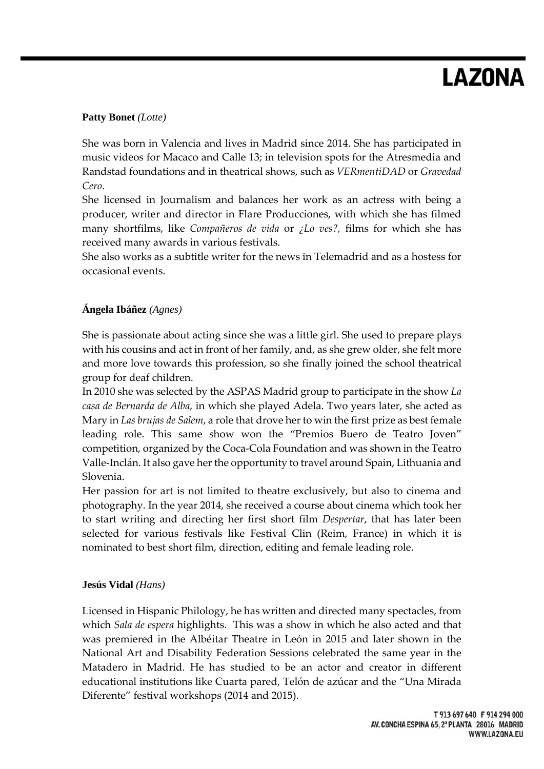### **Patty Bonet** *(Lotte)*

She was born in Valencia and lives in Madrid since 2014. She has participated in music videos for Macaco and Calle 13; in television spots for the Atresmedia and Randstad foundations and in theatrical shows, such as *VERmentiDAD* or *Gravedad Cero*.

She licensed in Journalism and balances her work as an actress with being a producer, writer and director in Flare Producciones, with which she has filmed many shortfilms, like *Compañeros de vida* or *¿Lo ves?,* films for which she has received many awards in various festivals.

She also works as a subtitle writer for the news in Telemadrid and as a hostess for occasional events.

### **Ángela Ibáñez** *(Agnes)*

She is passionate about acting since she was a little girl. She used to prepare plays with his cousins and act in front of her family, and, as she grew older, she felt more and more love towards this profession, so she finally joined the school theatrical group for deaf children.

In 2010 she was selected by the ASPAS Madrid group to participate in the show *La casa de Bernarda de Alba*, in which she played Adela. Two years later, she acted as Mary in *Las brujas de Salem*, a role that drove her to win the first prize as best female leading role. This same show won the "Premios Buero de Teatro Joven" competition, organized by the Coca‐Cola Foundation and was shown in the Teatro Valle‐Inclán. It also gave her the opportunity to travel around Spain, Lithuania and Slovenia.

Her passion for art is not limited to theatre exclusively, but also to cinema and photography. In the year 2014, she received a course about cinema which took her to start writing and directing her first short film *Despertar*, that has later been selected for various festivals like Festival Clin (Reim, France) in which it is nominated to best short film, direction, editing and female leading role.

### **Jesús Vidal** *(Hans)*

Licensed in Hispanic Philology, he has written and directed many spectacles, from which *Sala de espera* highlights. This was a show in which he also acted and that was premiered in the Albéitar Theatre in León in 2015 and later shown in the National Art and Disability Federation Sessions celebrated the same year in the Matadero in Madrid. He has studied to be an actor and creator in different educational institutions like Cuarta pared, Telón de azúcar and the "Una Mirada Diferente" festival workshops (2014 and 2015).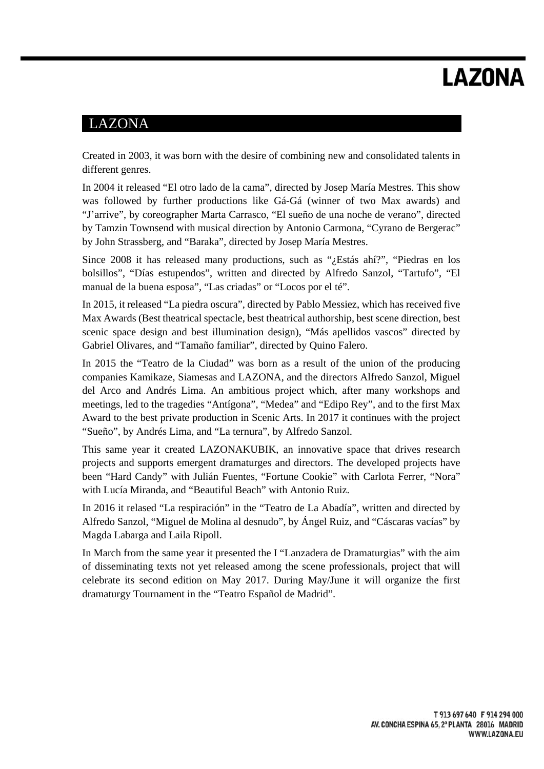## LAZONA

Created in 2003, it was born with the desire of combining new and consolidated talents in different genres.

In 2004 it released "El otro lado de la cama", directed by Josep María Mestres. This show was followed by further productions like Gá-Gá (winner of two Max awards) and "J'arrive", by coreographer Marta Carrasco, "El sueño de una noche de verano", directed by Tamzin Townsend with musical direction by Antonio Carmona, "Cyrano de Bergerac" by John Strassberg, and "Baraka", directed by Josep María Mestres.

Since 2008 it has released many productions, such as "¿Estás ahí?", "Piedras en los bolsillos", "Días estupendos", written and directed by Alfredo Sanzol, "Tartufo", "El manual de la buena esposa", "Las criadas" or "Locos por el té".

In 2015, it released "La piedra oscura", directed by Pablo Messiez, which has received five Max Awards (Best theatrical spectacle, best theatrical authorship, best scene direction, best scenic space design and best illumination design), "Más apellidos vascos" directed by Gabriel Olivares, and "Tamaño familiar", directed by Quino Falero.

In 2015 the "Teatro de la Ciudad" was born as a result of the union of the producing companies Kamikaze, Siamesas and LAZONA, and the directors Alfredo Sanzol, Miguel del Arco and Andrés Lima. An ambitious project which, after many workshops and meetings, led to the tragedies "Antígona", "Medea" and "Edipo Rey", and to the first Max Award to the best private production in Scenic Arts. In 2017 it continues with the project "Sueño", by Andrés Lima, and "La ternura", by Alfredo Sanzol.

This same year it created LAZONAKUBIK, an innovative space that drives research projects and supports emergent dramaturges and directors. The developed projects have been "Hard Candy" with Julián Fuentes, "Fortune Cookie" with Carlota Ferrer, "Nora" with Lucía Miranda, and "Beautiful Beach" with Antonio Ruiz.

In 2016 it relased "La respiración" in the "Teatro de La Abadía", written and directed by Alfredo Sanzol, "Miguel de Molina al desnudo", by Ángel Ruiz, and "Cáscaras vacías" by Magda Labarga and Laila Ripoll.

In March from the same year it presented the I "Lanzadera de Dramaturgias" with the aim of disseminating texts not yet released among the scene professionals, project that will celebrate its second edition on May 2017. During May/June it will organize the first dramaturgy Tournament in the "Teatro Español de Madrid".